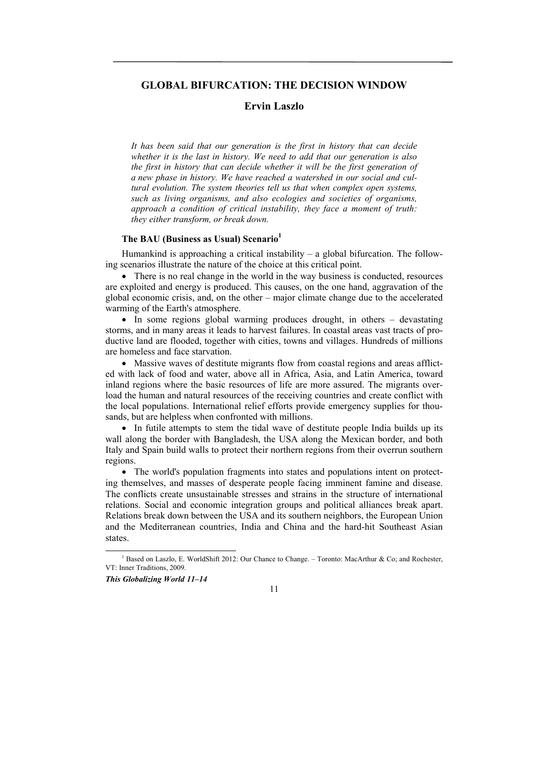# **GLOBAL BIFURCATION: THE DECISION WINDOW**

# **Ervin Laszlo**

*It has been said that our generation is the first in history that can decide whether it is the last in history. We need to add that our generation is also the first in history that can decide whether it will be the first generation of a new phase in history. We have reached a watershed in our social and cultural evolution. The system theories tell us that when complex open systems, such as living organisms, and also ecologies and societies of organisms, approach a condition of critical instability, they face a moment of truth: they either transform, or break down.* 

# **The BAU (Business as Usual) Scenario1**

Humankind is approaching a critical instability – a global bifurcation. The following scenarios illustrate the nature of the choice at this critical point.

• There is no real change in the world in the way business is conducted, resources are exploited and energy is produced. This causes, on the one hand, aggravation of the global economic crisis, and, on the other – major climate change due to the accelerated warming of the Earth's atmosphere.

• In some regions global warming produces drought, in others – devastating storms, and in many areas it leads to harvest failures. In coastal areas vast tracts of productive land are flooded, together with cities, towns and villages. Hundreds of millions are homeless and face starvation.

 Massive waves of destitute migrants flow from coastal regions and areas afflicted with lack of food and water, above all in Africa, Asia, and Latin America, toward inland regions where the basic resources of life are more assured. The migrants overload the human and natural resources of the receiving countries and create conflict with the local populations. International relief efforts provide emergency supplies for thousands, but are helpless when confronted with millions.

 In futile attempts to stem the tidal wave of destitute people India builds up its wall along the border with Bangladesh, the USA along the Mexican border, and both Italy and Spain build walls to protect their northern regions from their overrun southern regions.

• The world's population fragments into states and populations intent on protecting themselves, and masses of desperate people facing imminent famine and disease. The conflicts create unsustainable stresses and strains in the structure of international relations. Social and economic integration groups and political alliances break apart. Relations break down between the USA and its southern neighbors, the European Union and the Mediterranean countries, India and China and the hard-hit Southeast Asian states.

### *This Globalizing World 11–14*

11

 $\overline{\phantom{a}}$ <sup>1</sup> Based on Laszlo, E. WorldShift 2012: Our Chance to Change. – Toronto: MacArthur & Co; and Rochester, VT: Inner Traditions, 2009.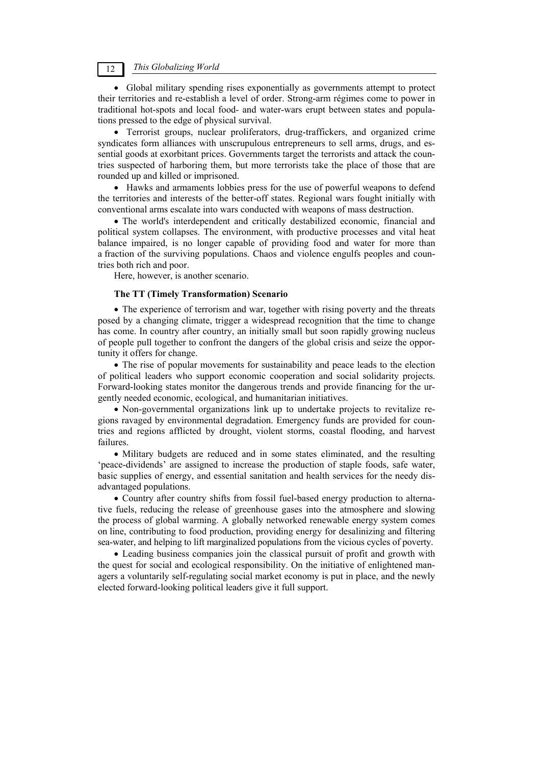12 *This Globalizing World* 

 Global military spending rises exponentially as governments attempt to protect their territories and re-establish a level of order. Strong-arm régimes come to power in traditional hot-spots and local food- and water-wars erupt between states and populations pressed to the edge of physical survival.

 Terrorist groups, nuclear proliferators, drug-traffickers, and organized crime syndicates form alliances with unscrupulous entrepreneurs to sell arms, drugs, and essential goods at exorbitant prices. Governments target the terrorists and attack the countries suspected of harboring them, but more terrorists take the place of those that are rounded up and killed or imprisoned.

 Hawks and armaments lobbies press for the use of powerful weapons to defend the territories and interests of the better-off states. Regional wars fought initially with conventional arms escalate into wars conducted with weapons of mass destruction.

• The world's interdependent and critically destabilized economic, financial and political system collapses. The environment, with productive processes and vital heat balance impaired, is no longer capable of providing food and water for more than a fraction of the surviving populations. Chaos and violence engulfs peoples and countries both rich and poor.

Here, however, is another scenario.

# **The TT (Timely Transformation) Scenario**

• The experience of terrorism and war, together with rising poverty and the threats posed by a changing climate, trigger a widespread recognition that the time to change has come. In country after country, an initially small but soon rapidly growing nucleus of people pull together to confront the dangers of the global crisis and seize the opportunity it offers for change.

 The rise of popular movements for sustainability and peace leads to the election of political leaders who support economic cooperation and social solidarity projects. Forward-looking states monitor the dangerous trends and provide financing for the urgently needed economic, ecological, and humanitarian initiatives.

 Non-governmental organizations link up to undertake projects to revitalize regions ravaged by environmental degradation. Emergency funds are provided for countries and regions afflicted by drought, violent storms, coastal flooding, and harvest failures.

 Military budgets are reduced and in some states eliminated, and the resulting 'peace-dividends' are assigned to increase the production of staple foods, safe water, basic supplies of energy, and essential sanitation and health services for the needy disadvantaged populations.

 Country after country shifts from fossil fuel-based energy production to alternative fuels, reducing the release of greenhouse gases into the atmosphere and slowing the process of global warming. A globally networked renewable energy system comes on line, contributing to food production, providing energy for desalinizing and filtering sea-water, and helping to lift marginalized populations from the vicious cycles of poverty.

 Leading business companies join the classical pursuit of profit and growth with the quest for social and ecological responsibility. On the initiative of enlightened managers a voluntarily self-regulating social market economy is put in place, and the newly elected forward-looking political leaders give it full support.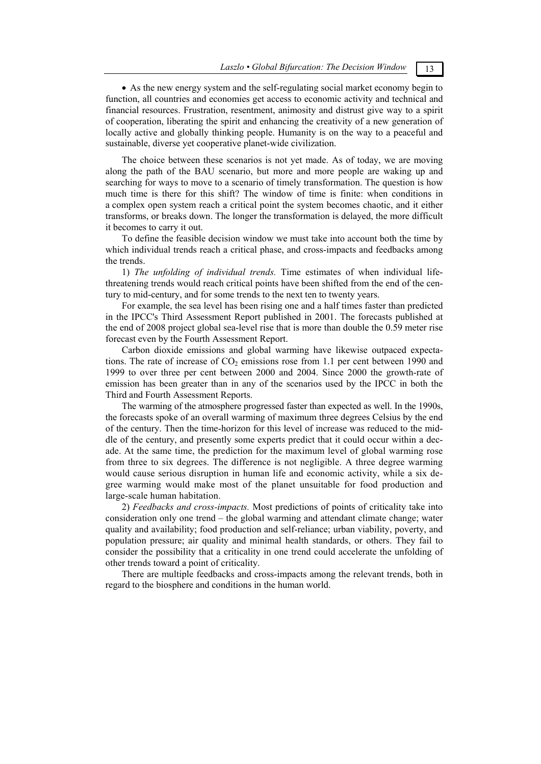As the new energy system and the self-regulating social market economy begin to function, all countries and economies get access to economic activity and technical and financial resources. Frustration, resentment, animosity and distrust give way to a spirit of cooperation, liberating the spirit and enhancing the creativity of a new generation of locally active and globally thinking people. Humanity is on the way to a peaceful and sustainable, diverse yet cooperative planet-wide civilization.

The choice between these scenarios is not yet made. As of today, we are moving along the path of the BAU scenario, but more and more people are waking up and searching for ways to move to a scenario of timely transformation. The question is how much time is there for this shift? The window of time is finite: when conditions in a complex open system reach a critical point the system becomes chaotic, and it either transforms, or breaks down. The longer the transformation is delayed, the more difficult it becomes to carry it out.

To define the feasible decision window we must take into account both the time by which individual trends reach a critical phase, and cross-impacts and feedbacks among the trends.

1) *The unfolding of individual trends.* Time estimates of when individual lifethreatening trends would reach critical points have been shifted from the end of the century to mid-century, and for some trends to the next ten to twenty years.

For example, the sea level has been rising one and a half times faster than predicted in the IPCC's Third Assessment Report published in 2001. The forecasts published at the end of 2008 project global sea-level rise that is more than double the 0.59 meter rise forecast even by the Fourth Assessment Report.

Carbon dioxide emissions and global warming have likewise outpaced expectations. The rate of increase of  $CO<sub>2</sub>$  emissions rose from 1.1 per cent between 1990 and 1999 to over three per cent between 2000 and 2004. Since 2000 the growth-rate of emission has been greater than in any of the scenarios used by the IPCC in both the Third and Fourth Assessment Reports.

The warming of the atmosphere progressed faster than expected as well. In the 1990s, the forecasts spoke of an overall warming of maximum three degrees Celsius by the end of the century. Then the time-horizon for this level of increase was reduced to the middle of the century, and presently some experts predict that it could occur within a decade. At the same time, the prediction for the maximum level of global warming rose from three to six degrees. The difference is not negligible. A three degree warming would cause serious disruption in human life and economic activity, while a six degree warming would make most of the planet unsuitable for food production and large-scale human habitation.

2) *Feedbacks and cross-impacts.* Most predictions of points of criticality take into consideration only one trend – the global warming and attendant climate change; water quality and availability; food production and self-reliance; urban viability, poverty, and population pressure; air quality and minimal health standards, or others. They fail to consider the possibility that a criticality in one trend could accelerate the unfolding of other trends toward a point of criticality.

There are multiple feedbacks and cross-impacts among the relevant trends, both in regard to the biosphere and conditions in the human world.